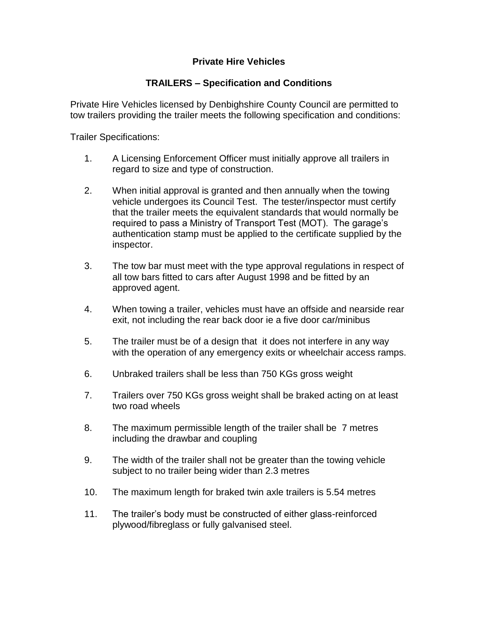## **Private Hire Vehicles**

## **TRAILERS – Specification and Conditions**

Private Hire Vehicles licensed by Denbighshire County Council are permitted to tow trailers providing the trailer meets the following specification and conditions:

Trailer Specifications:

- 1. A Licensing Enforcement Officer must initially approve all trailers in regard to size and type of construction.
- 2. When initial approval is granted and then annually when the towing vehicle undergoes its Council Test. The tester/inspector must certify that the trailer meets the equivalent standards that would normally be required to pass a Ministry of Transport Test (MOT). The garage's authentication stamp must be applied to the certificate supplied by the inspector.
- 3. The tow bar must meet with the type approval regulations in respect of all tow bars fitted to cars after August 1998 and be fitted by an approved agent.
- 4. When towing a trailer, vehicles must have an offside and nearside rear exit, not including the rear back door ie a five door car/minibus
- 5. The trailer must be of a design that it does not interfere in any way with the operation of any emergency exits or wheelchair access ramps.
- 6. Unbraked trailers shall be less than 750 KGs gross weight
- 7. Trailers over 750 KGs gross weight shall be braked acting on at least two road wheels
- 8. The maximum permissible length of the trailer shall be 7 metres including the drawbar and coupling
- 9. The width of the trailer shall not be greater than the towing vehicle subject to no trailer being wider than 2.3 metres
- 10. The maximum length for braked twin axle trailers is 5.54 metres
- 11. The trailer's body must be constructed of either glass-reinforced plywood/fibreglass or fully galvanised steel.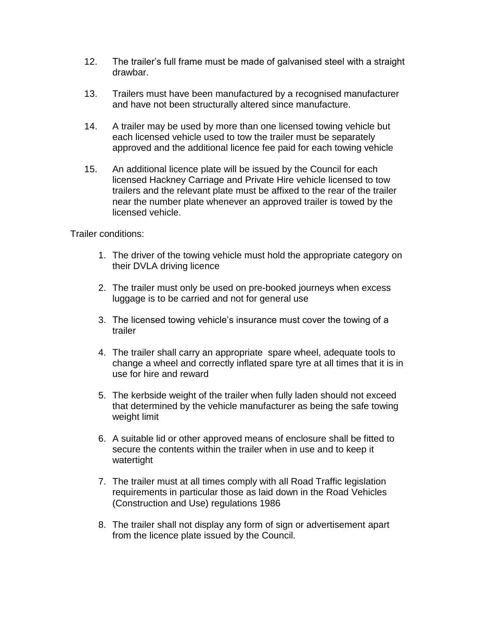- 12. The trailer's full frame must be made of galvanised steel with a straight drawbar.
- 13. Trailers must have been manufactured by a recognised manufacturer and have not been structurally altered since manufacture.
- 14. A trailer may be used by more than one licensed towing vehicle but each licensed vehicle used to tow the trailer must be separately approved and the additional licence fee paid for each towing vehicle
- 15. An additional licence plate will be issued by the Council for each licensed Hackney Carriage and Private Hire vehicle licensed to tow trailers and the relevant plate must be affixed to the rear of the trailer near the number plate whenever an approved trailer is towed by the licensed vehicle.

Trailer conditions:

- 1. The driver of the towing vehicle must hold the appropriate category on their DVLA driving licence
- 2. The trailer must only be used on pre-booked journeys when excess luggage is to be carried and not for general use
- 3. The licensed towing vehicle's insurance must cover the towing of a trailer
- 4. The trailer shall carry an appropriate spare wheel, adequate tools to change a wheel and correctly inflated spare tyre at all times that it is in use for hire and reward
- 5. The kerbside weight of the trailer when fully laden should not exceed that determined by the vehicle manufacturer as being the safe towing weight limit
- 6. A suitable lid or other approved means of enclosure shall be fitted to secure the contents within the trailer when in use and to keep it watertight
- 7. The trailer must at all times comply with all Road Traffic legislation requirements in particular those as laid down in the Road Vehicles (Construction and Use) regulations 1986
- 8. The trailer shall not display any form of sign or advertisement apart from the licence plate issued by the Council.